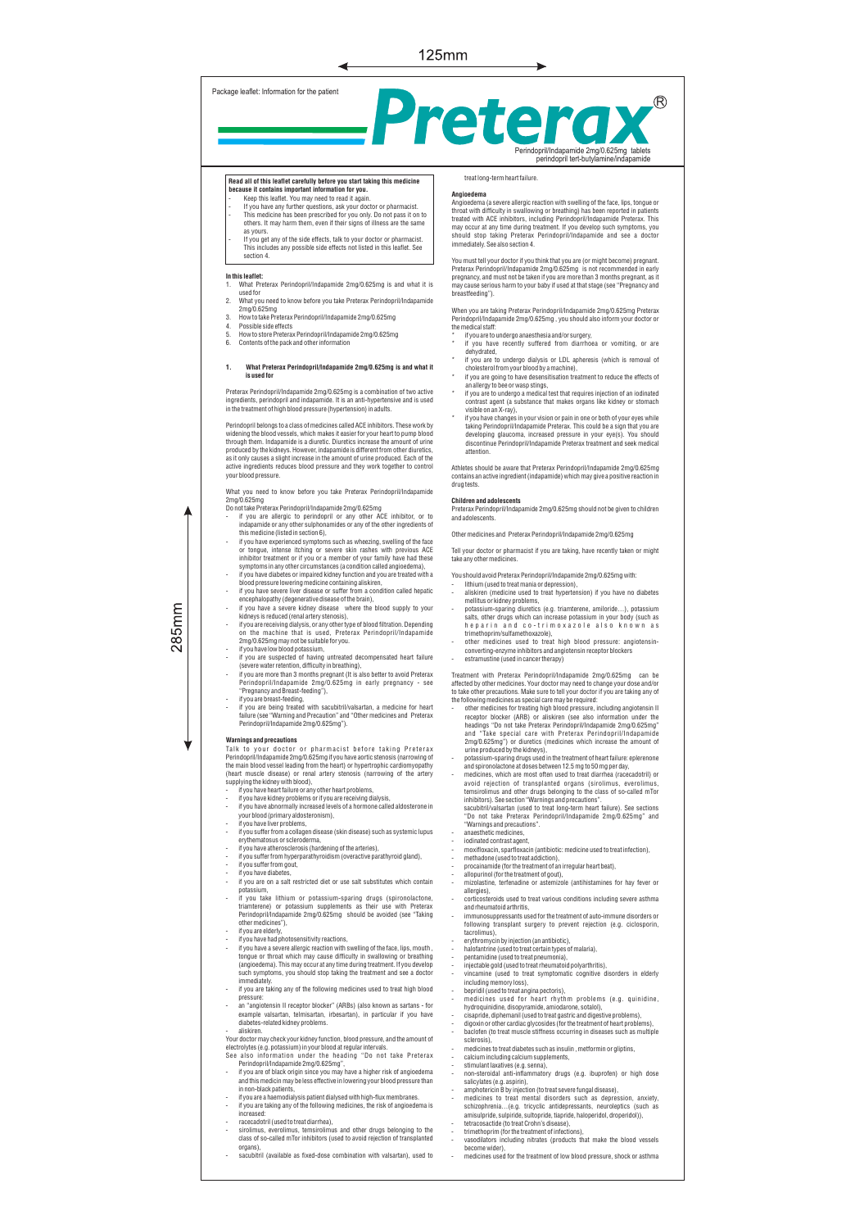

# **Read all of this leaflet carefully before you start taking this medicine because it contains important information for you.** - Keep this leaflet. You may need to read it again.

If you have any further questions, ask your doctor or pharmacist. This medicine has been prescribed for you only. Do not pass it on to others. It may harm them, even if their signs of illness are the same as yours.

- If you get any of the side effects, talk to your doctor or pharmacist. This includes any possible side effects not listed in this leaflet. See section 4.

### **In this leaflet:**

- 1. What Preterax Perindopril/Indapamide 2mg/0.625mg is and what it is used for
- 2. What you need to know before you take Preterax Perindopril/Indapamide
- 2mg/0.625mg 3. How to take Preterax Perindopril/Indapamide 2mg/0.625mg
- 4. Possible side effects<br>5. How to store Pretera
- 5. How to store Preterax Perindopril/Indapamide 2mg/0.625mg<br>6. Contents of the nack and other information 6. Contents of the pack and other information
- 

### **1. What Preterax Perindopril/Indapamide 2mg/0.625mg is and what it is used for**

Preterax Perindopril/Indapamide 2mg/0.625mg is a combination of two active<br>ingredients, perindopril and indapamide. It is an anti-hypertensive and is used<br>in the treatment of high blood pressure (hypertension) in adults.

Perindopril belongs to a class of medicines called ACE inhibitors. These work by<br>evidening the blood vessels, which makes it assier for your heart to pump blood<br>through them. Indapamide is a diuretic. Diuretics increase th

- 
- What you need to know before you take Preterax Perindopril/indapamide<br>
2mg/0.625mg<br>
Do not take Preterax Perindopril/Indapamide 2mg/0.625mg<br>
 if you are allergic to perindopril or any other ACE inhibitor, or to<br>
indapamid
- if you have diabetes or impaired kidney function and you are treated with a blood pressure lowering medicine containing aliskiren, - if you have severe liver disease or suffer from a condition called hepatic
- 
- encephalopathy (degenerative disease of the brain), if you have a severe kidney disease where the blood supply to your kidneys is reduced (renal artery stenosis),
- if you are receiving dialysis, or any other type of blood filtration. Depending on the machine that is used, Preterax Perindopril/Indapamide 2mg/0.625mg may not be suitable for you.
- 
- If you have low blood potassium,<br>if you are suspected of having untreated decompensated heart failure<br>(severe water retention, difficulty in breathing),<br>if you are more than 3 months pregnant (It is also better to avoid
- 
- if you are breast-feeding, if you are being treated with sacubitril/valsartan, a medicine for heart failure (see "Warning and Precaution" and "Other medicines and Preterax Perindopril/Indapamide 2mg/0.625mg").

 $285$ mm

Warmings and precautions<br>
Talk to your doctor or pharmacist before taking Preterax<br>
Perindopril/Indepanide 2mg/0.625mg if you have aortic stenosis (narrowing of<br>
the main blood vessel leading from the heart por hypertrophi

- 
- 
- 
- if you have liver problems, if you suffer from a collagen disease (skin disease) such as systemic lupus
- erythematosus or scleroderma, if you have atherosclerosis (hardening of the arteries), if you suffer from hyperparathyroidism (overactive parathyroid gland), if you suffer from gout,
- 
- 
- if you have diabetes, if you are on a salt restricted diet or use salt substitutes which contain
- potassium, if you take lithium or potassium-sparing drugs (spironolactone,
- triamterene) or potassium supplements as their use with Preterax Perindopril/Indapamide 2mg/0.625mg should be avoided (see "Taking other medicines"), if you are elderly
- if you have had photosensitivity reactions
- if you have a severe allergic reaction with swelling of the face, lips, mouth , tongue or throat which may cause difficulty in swallowing or breathing (angioedema). This may occur at any time during treatment. If you develop such symptoms, you should stop taking the treatment and see a doctor immediately.
- if you are taking any of the following medicines used to treat high blood pressure: - an "angiotensin II receptor blocker" (ARBs) (also known as sartans - for
- valsartan, telmisartan, irbesartan), in particular if you have diabetes-related kidney problems. aliskiren.
- Your doctor may check your kidney function, blood pressure, and the amount of
- electrolytes (e.g. potassium) in your blood at regular intervals. See also information under the heading "Do not take Preterax
- Perindopril/Indapamide 2mg/0.625mg", if you are of black origin since you may have a higher risk of angioedema and this medicin may be less effective in lowering your blood pressure than in non-black patients,
- if you are a haemodialysis patient dialysed with high-flux membranes. if you are taking any of the following medicines, the risk of angioedema is
- 
- increased: racecadotril (used to treat diarrhea), sirolimus, everolimus, temsirolimus and other drugs belonging to the class of so-called mTor inhibitors (used to avoid rejection of transplanted
- organs), sacubitril (available as fixed-dose combination with valsartan), used to
- 

# treat long-term heart failure.

**Angioedema**

Angioedema (a severe allergic reaction with swelling of the face, lips, tongue or throat with difficulty in swallowing or breathing) has been reported in patients treated with ACE inhibitors, including Perindopri/Indapamide Preterax. This<br>may occur at any time during treatment. If you develop such symptoms, you<br>should stop taking Preterax Perindopril/Indapamide and see a doctor<br>imme

You must tell your doctor if you think that you are (or might become) pregnant. Preterax Perindopril/Indapamide 2mg/0.625mg is not recommended in early<br>pregnancy, and must not be taken if you are more than 3 months pregnant, as it<br>may cause serious harm to your baby if used at that stage (see "Pregn breastfeeding").

When you are taking Preterax Perindopril/Indapamide 2mg/0.625mg Preterax Perindopril/Indapamide 2mg/0.625mg , you should also inform your doctor or

- the medical staff: \* if you are to undergo anaesthesia and/or surgery, \* if you have recently suffered from diarrhoea or vomiting, or are
- 
- 
- the matrice of the matrice of dalysis or LDL apheresis (which is removal of<br>
if you are to undergo dialysis or LDL apheresis (which is removal of<br>
"If you are going to have desensitisation treatment to reduce the effects o
- " If you have changes in your vision or pain in one or both of your eyes while<br>taking Perindopril/Indapamide Preterax. This could be a sign that you are<br>developing glaucoma, increased pressure in your eye(s). You should<br>di

Athletes should be aware that Preterax Perindopril/Indapamide 2mg/0.625mg contains an active ingredient (indapamide) which may give a positive reaction in drug tests.

### **Children and adolescents**

Preterax Perindopril/Indapamide 2mg/0.625mg should not be given to children and adolescents.

Other medicines and Preterax Perindopril/Indapamide 2mg/0.625mg

Tell your doctor or pharmacist if you are taking, have recently taken or might take any other medicines.

- You should avoid Preterax Perindopril/Indapamide 2mg/0.625mg with:
- lithium (used to treat mania or depression), aliskiren (medicine used to treat hypertension) if you have no diabetes
- mellitus or kidney problems, potassium-sparing diuretics (e.g. triamterene, amiloride...), potassium
- salts, other drugs which can increase potassium in your body (such as h e p a r i n a n d c o t r i m o x a z o l e a l s o k n o w n a s
- trimethoprim/sulfamethoxazole), other medicines used to treat high blood pressure: angiotensin-converting-enzyme inhibitors and angiotensin receptor blockers estramustine (used in cancer therapy)
- 

- Ireantment with Preterax. Perindopril/Indeparamede 2mg/0.525mg<br>
artented by other medicines. Your doctor may need to change your does and/or<br>
to take other precautions. Make sure to tell your doctor if you are taking any
- 
- - sacubitril/valsartan (used to treat long-term heart failure). See sections<br>"Do not take Preterax Perindopril/Indapamide 2mg/0.625mg" and "Warnings and precautions".
- anaesthetic medicines,
- iodinated contrast agent, moxifloxacin, sparfloxacin (antibiotic: medicine used to treat infection),
- 
- methadone (used to treat addiction), procainamide (for the treatment of an irregular heart beat),
- 
- allopurinol (for the treatment of gout), mizolastine, terfenadine or astemizole (antihistamines for hay fever or allergies),
- corticosteroids used to treat various conditions including severe asthma and rheumatoid arthritis,
- immunosuppressants used for the treatment of auto-immune disorders or following transplant surgery to prevent rejection (e.g. ciclosporin, tacrolimu
- erythromycin by injection (an antibiotic),
- halofantrine (used to treat certain types of malaria)
- pentamidine (used to treat pneumonia),<br>injectable gold (used to treat rheumatoid polyarthritis),
- 
- 
- 
- injectable gold (used to treat symptomatol polyarthritis),<br>
vincamine (used to treat symptomatic cognitive disorders in elderly<br>
including memory loss),<br>
 bepridil (used to treat angina pectoris),<br>
 medicines used for
- 
- sclerosis),<br>sclerosis),<br>medicines to treat diabetes such as insulin , metformin or gliptins
- 
- 
- 
- 
- 
- medicines for terat diabeles such as misulin, methormin or gliptins,<br>
 calcium including calcium supplements,<br>
 stimulant laxatives (e.g. senna),<br>
 non-steroidal anti-inflammatory drugs (e.g. ibuprofen) or high dose<br>

medicines used for the treatment of low blood pressure, shock or asthma

- 
- 

become wider),